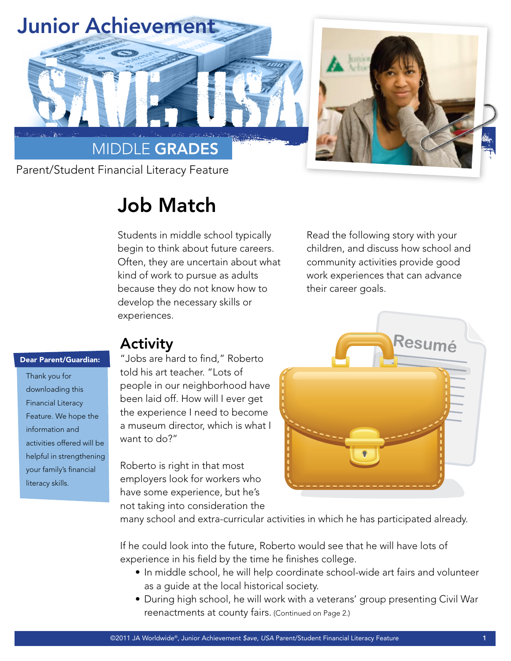

# Job Match

Students in middle school typically begin to think about future careers. Often, they are uncertain about what kind of work to pursue as adults because they do not know how to develop the necessary skills or experiences.

Read the following story with your children, and discuss how school and community activities provide good work experiences that can advance their career goals.

### Dear Parent/Guardian:

Thank you for downloading this Financial Literacy Feature. We hope the information and activities offered will be helpful in strengthening your family's financial literacy skills.

## Activity

"Jobs are hard to find," Roberto told his art teacher. "Lots of people in our neighborhood have been laid off. How will I ever get the experience I need to become a museum director, which is what I want to do?"

Roberto is right in that most employers look for workers who have some experience, but he's not taking into consideration the



many school and extra-curricular activities in which he has participated already.

If he could look into the future, Roberto would see that he will have lots of experience in his field by the time he finishes college.

- In middle school, he will help coordinate school-wide art fairs and volunteer as a guide at the local historical society.
- During high school, he will work with a veterans' group presenting Civil War reenactments at county fairs. (Continued on Page 2.)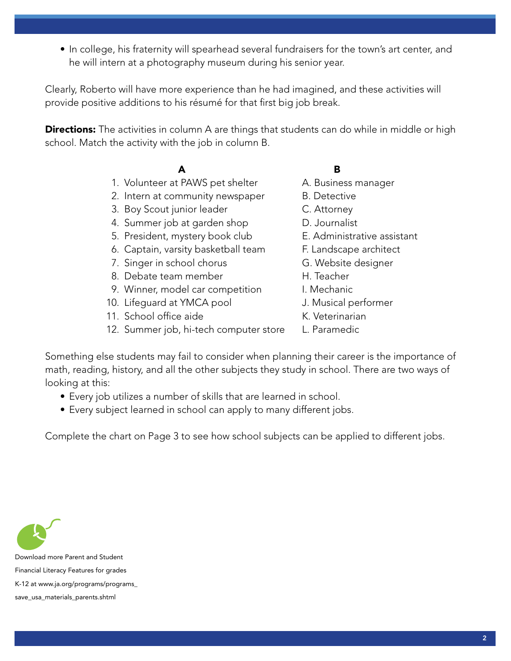• In college, his fraternity will spearhead several fundraisers for the town's art center, and he will intern at a photography museum during his senior year.

Clearly, Roberto will have more experience than he had imagined, and these activities will provide positive additions to his résumé for that first big job break.

**Directions:** The activities in column A are things that students can do while in middle or high school. Match the activity with the job in column B.

## A B

- 1. Volunteer at PAWS pet shelter A. Business manager
- 2. Intern at community newspaper B. Detective
- 3. Boy Scout junior leader **C. Attorney**
- 4. Summer job at garden shop **D.** Journalist
- 5. President, mystery book club E. Administrative assistant
- 6. Captain, varsity basketball team F. Landscape architect
- 7. Singer in school chorus G. Website designer
- 8. Debate team member **H. Teacher**
- 9. Winner, model car competition I. Mechanic
- 10. Lifeguard at YMCA pool J. Musical performer
- 11. School office aide K. Veterinarian
- 12. Summer job, hi-tech computer store L. Paramedic
- 
- 
- 
- 
- 
- 
- 
- 
- 
- 
- 
- 
- 

Something else students may fail to consider when planning their career is the importance of math, reading, history, and all the other subjects they study in school. There are two ways of looking at this:

- Every job utilizes a number of skills that are learned in school.
- Every subject learned in school can apply to many different jobs.

Complete the chart on Page 3 to see how school subjects can be applied to different jobs.



Download more Parent and Student Financial Literacy Features for grades K-12 at www.ja.org/programs/programs\_ save\_usa\_materials\_parents.shtml